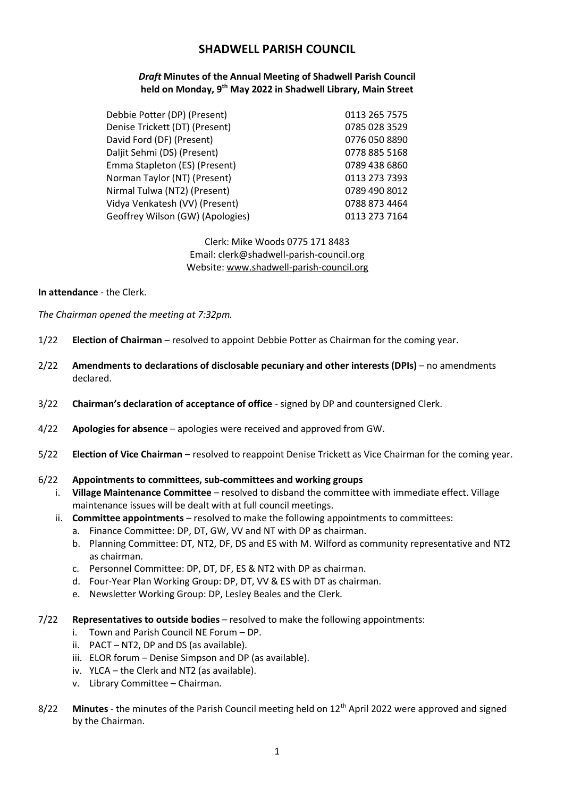# **SHADWELL PARISH COUNCIL**

### *Draft* **Minutes of the Annual Meeting of Shadwell Parish Council held on Monday, 9 th May 2022 in Shadwell Library, Main Street**

| Debbie Potter (DP) (Present)     | 0113 265 7575 |
|----------------------------------|---------------|
| Denise Trickett (DT) (Present)   | 0785 028 3529 |
| David Ford (DF) (Present)        | 0776 050 8890 |
| Daljit Sehmi (DS) (Present)      | 0778 885 5168 |
| Emma Stapleton (ES) (Present)    | 0789 438 6860 |
| Norman Taylor (NT) (Present)     | 0113 273 7393 |
| Nirmal Tulwa (NT2) (Present)     | 0789 490 8012 |
| Vidya Venkatesh (VV) (Present)   | 0788 873 4464 |
| Geoffrey Wilson (GW) (Apologies) | 0113 273 7164 |

#### Clerk: Mike Woods 0775 171 8483 Email: clerk@shadwell-parish-council.org Website: www.shadwell-parish-council.org

#### **In attendance** - the Clerk.

*The Chairman opened the meeting at 7:32pm.*

- 1/22 **Election of Chairman** resolved to appoint Debbie Potter as Chairman for the coming year.
- 2/22 **Amendments to declarations of disclosable pecuniary and other interests (DPIs)** no amendments declared.
- 3/22 **Chairman's declaration of acceptance of office** signed by DP and countersigned Clerk.
- 4/22 **Apologies for absence** apologies were received and approved from GW.
- 5/22 **Election of Vice Chairman** resolved to reappoint Denise Trickett as Vice Chairman for the coming year.

#### 6/22 **Appointments to committees, sub-committees and working groups**

- i. **Village Maintenance Committee** resolved to disband the committee with immediate effect. Village maintenance issues will be dealt with at full council meetings.
- ii. **Committee appointments** resolved to make the following appointments to committees:
	- a. Finance Committee: DP, DT, GW, VV and NT with DP as chairman.
	- b. Planning Committee: DT, NT2, DF, DS and ES with M. Wilford as community representative and NT2 as chairman.
	- c. Personnel Committee: DP, DT, DF, ES & NT2 with DP as chairman.
	- d. Four-Year Plan Working Group: DP, DT, VV & ES with DT as chairman.
	- e. Newsletter Working Group: DP, Lesley Beales and the Clerk.
- 7/22 **Representatives to outside bodies** resolved to make the following appointments:
	- i. Town and Parish Council NE Forum DP.
	- ii. PACT NT2, DP and DS (as available).
	- iii. ELOR forum Denise Simpson and DP (as available).
	- iv. YLCA the Clerk and NT2 (as available).
	- v. Library Committee Chairman.
- 8/22 **Minutes** the minutes of the Parish Council meeting held on 12<sup>th</sup> April 2022 were approved and signed by the Chairman.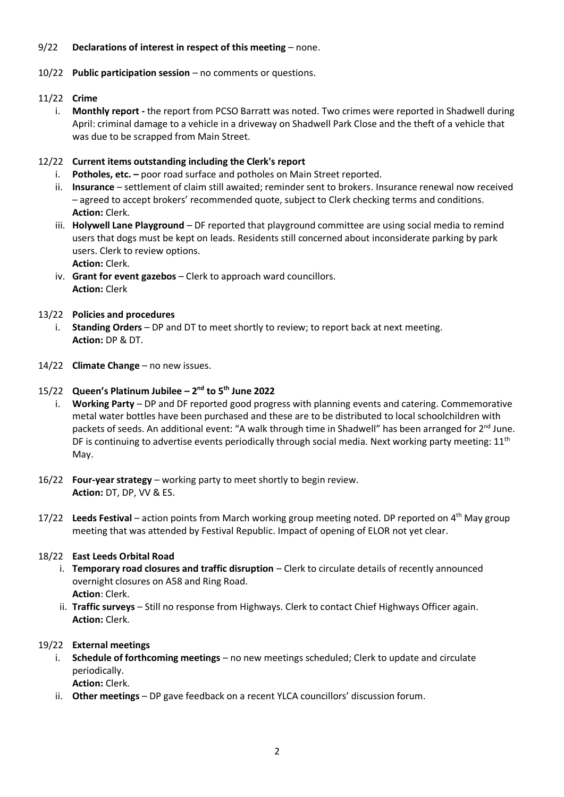### 9/22 **Declarations of interest in respect of this meeting** – none.

#### 10/22 **Public participation session** – no comments or questions.

#### 11/22 **Crime**

i. **Monthly report -** the report from PCSO Barratt was noted. Two crimes were reported in Shadwell during April: criminal damage to a vehicle in a driveway on Shadwell Park Close and the theft of a vehicle that was due to be scrapped from Main Street.

#### 12/22 **Current items outstanding including the Clerk's report**

- i. **Potholes, etc. –** poor road surface and potholes on Main Street reported.
- ii. **Insurance** settlement of claim still awaited; reminder sent to brokers. Insurance renewal now received – agreed to accept brokers' recommended quote, subject to Clerk checking terms and conditions. **Action:** Clerk.
- iii. **Holywell Lane Playground** DF reported that playground committee are using social media to remind users that dogs must be kept on leads. Residents still concerned about inconsiderate parking by park users. Clerk to review options. **Action:** Clerk.
- iv. **Grant for event gazebos** Clerk to approach ward councillors. **Action:** Clerk

#### 13/22 **Policies and procedures**

- i. **Standing Orders** DP and DT to meet shortly to review; to report back at next meeting. **Action:** DP & DT.
- 14/22 **Climate Change** no new issues.

#### 15/22 **Queen's Platinum Jubilee – 2 nd to 5th June 2022**

- i. **Working Party** DP and DF reported good progress with planning events and catering. Commemorative metal water bottles have been purchased and these are to be distributed to local schoolchildren with packets of seeds. An additional event: "A walk through time in Shadwell" has been arranged for 2<sup>nd</sup> June. DF is continuing to advertise events periodically through social media. Next working party meeting:  $11<sup>th</sup>$ May.
- 16/22 **Four-year strategy** working party to meet shortly to begin review. **Action:** DT, DP, VV & ES.
- 17/22 **Leeds Festival** action points from March working group meeting noted. DP reported on 4th May group meeting that was attended by Festival Republic. Impact of opening of ELOR not yet clear.

#### 18/22 **East Leeds Orbital Road**

- i. **Temporary road closures and traffic disruption** Clerk to circulate details of recently announced overnight closures on A58 and Ring Road. **Action**: Clerk.
- ii. **Traffic surveys** Still no response from Highways. Clerk to contact Chief Highways Officer again. **Action:** Clerk.

### 19/22 **External meetings**

- i. **Schedule of forthcoming meetings** no new meetings scheduled; Clerk to update and circulate periodically. **Action:** Clerk.
- ii. **Other meetings** DP gave feedback on a recent YLCA councillors' discussion forum.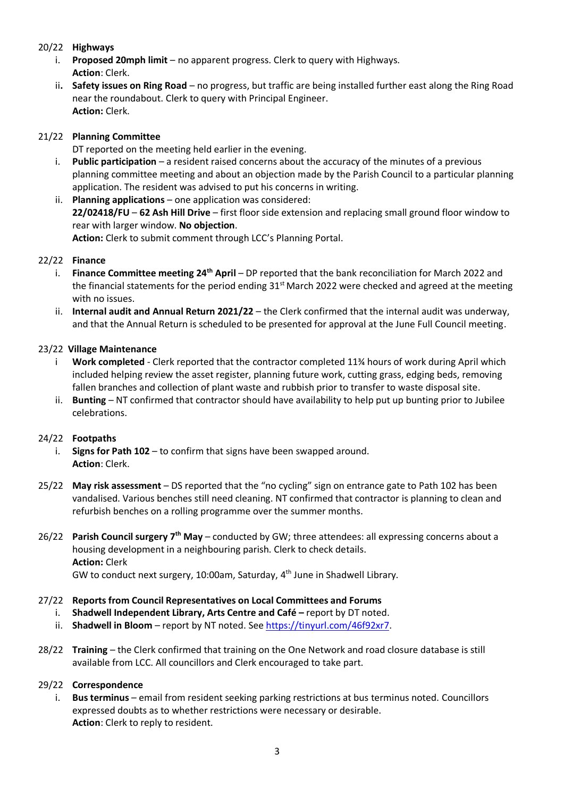## 20/22 **Highways**

- i. **Proposed 20mph limit** no apparent progress. Clerk to query with Highways. **Action**: Clerk.
- ii**. Safety issues on Ring Road** no progress, but traffic are being installed further east along the Ring Road near the roundabout. Clerk to query with Principal Engineer. **Action:** Clerk.

# 21/22 **Planning Committee**

DT reported on the meeting held earlier in the evening.

- i. **Public participation** a resident raised concerns about the accuracy of the minutes of a previous planning committee meeting and about an objection made by the Parish Council to a particular planning application. The resident was advised to put his concerns in writing.
- ii. **Planning applications** one application was considered: **22/02418/FU** – **62 Ash Hill Drive** – first floor side extension and replacing small ground floor window to rear with larger window. **No objection**. **Action:** Clerk to submit comment through LCC's Planning Portal.

### 22/22 **Finance**

- i. **Finance Committee meeting 24th April**  DP reported that the bank reconciliation for March 2022 and the financial statements for the period ending  $31<sup>st</sup>$  March 2022 were checked and agreed at the meeting with no issues.
- ii. **Internal audit and Annual Return 2021/22** the Clerk confirmed that the internal audit was underway, and that the Annual Return is scheduled to be presented for approval at the June Full Council meeting.

# 23/22 **Village Maintenance**

- i **Work completed** Clerk reported that the contractor completed 11¼ hours of work during April which included helping review the asset register, planning future work, cutting grass, edging beds, removing fallen branches and collection of plant waste and rubbish prior to transfer to waste disposal site.
- ii. **Bunting** NT confirmed that contractor should have availability to help put up bunting prior to Jubilee celebrations.

### 24/22 **Footpaths**

- i. **Signs for Path 102** to confirm that signs have been swapped around. **Action**: Clerk.
- 25/22 **May risk assessment**  DS reported that the "no cycling" sign on entrance gate to Path 102 has been vandalised. Various benches still need cleaning. NT confirmed that contractor is planning to clean and refurbish benches on a rolling programme over the summer months.
- 26/22 **Parish Council surgery 7 th May** conducted by GW; three attendees: all expressing concerns about a housing development in a neighbouring parish. Clerk to check details. **Action:** Clerk GW to conduct next surgery, 10:00am, Saturday, 4<sup>th</sup> June in Shadwell Library.
	-

# 27/22 **Reports from Council Representatives on Local Committees and Forums**

- i. **Shadwell Independent Library, Arts Centre and Café –** report by DT noted.
- ii. **Shadwell in Bloom** report by NT noted. See [https://tinyurl.com/46f92xr7.](https://tinyurl.com/46f92xr7)
- 28/22 **Training** the Clerk confirmed that training on the One Network and road closure database is still available from LCC. All councillors and Clerk encouraged to take part.

### 29/22 **Correspondence**

i. **Bus terminus** – email from resident seeking parking restrictions at bus terminus noted. Councillors expressed doubts as to whether restrictions were necessary or desirable. **Action**: Clerk to reply to resident.